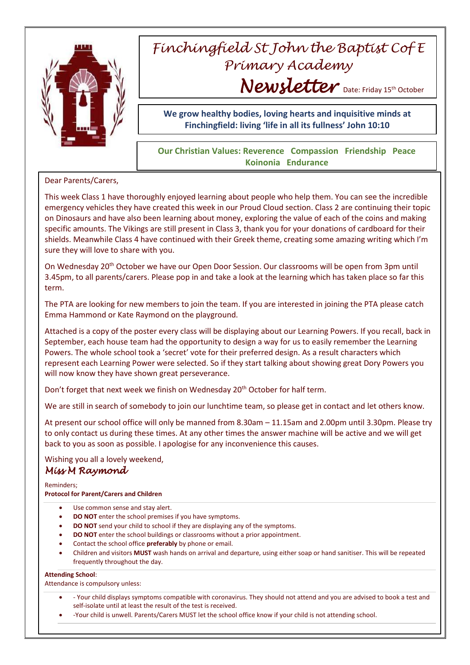

# *Finchingfield St John the Baptist Cof E Primary Academy* Newsletter Date: Friday 15th October

**We grow healthy bodies, loving hearts and inquisitive minds at Finchingfield: living 'life in all its fullness' John 10:10**

## **Our Christian Values: Reverence Compassion Friendship Peace Koinonia Endurance**

#### Dear Parents/Carers,

This week Class 1 have thoroughly enjoyed learning about people who help them. You can see the incredible emergency vehicles they have created this week in our Proud Cloud section. Class 2 are continuing their topic on Dinosaurs and have also been learning about money, exploring the value of each of the coins and making specific amounts. The Vikings are still present in Class 3, thank you for your donations of cardboard for their shields. Meanwhile Class 4 have continued with their Greek theme, creating some amazing writing which I'm sure they will love to share with you.

On Wednesday 20<sup>th</sup> October we have our Open Door Session. Our classrooms will be open from 3pm until 3.45pm, to all parents/carers. Please pop in and take a look at the learning which has taken place so far this term.

The PTA are looking for new members to join the team. If you are interested in joining the PTA please catch Emma Hammond or Kate Raymond on the playground.

Attached is a copy of the poster every class will be displaying about our Learning Powers. If you recall, back in September, each house team had the opportunity to design a way for us to easily remember the Learning Powers. The whole school took a 'secret' vote for their preferred design. As a result characters which represent each Learning Power were selected. So if they start talking about showing great Dory Powers you will now know they have shown great perseverance.

Don't forget that next week we finish on Wednesday 20<sup>th</sup> October for half term.

We are still in search of somebody to join our lunchtime team, so please get in contact and let others know.

At present our school office will only be manned from 8.30am – 11.15am and 2.00pm until 3.30pm. Please try to only contact us during these times. At any other times the answer machine will be active and we will get back to you as soon as possible. I apologise for any inconvenience this causes.

Wishing you all a lovely weekend,

### *Miss M Raymond*

Reminders;

**Protocol for Parent/Carers and Children**

- Use common sense and stay alert.
- **DO NOT** enter the school premises if you have symptoms.
- **DO NOT** send your child to school if they are displaying any of the symptoms.
- **DO NOT** enter the school buildings or classrooms without a prior appointment.
- Contact the school office **preferably** by phone or email.
- Children and visitors **MUST** wash hands on arrival and departure, using either soap or hand sanitiser. This will be repeated frequently throughout the day.

#### **Attending School**:

Attendance is compulsory unless:

- Your child displays symptoms compatible with coronavirus. They should not attend and you are advised to book a test and self-isolate until at least the result of the test is received.
- -Your child is unwell. Parents/Carers MUST let the school office know if your child is not attending school.